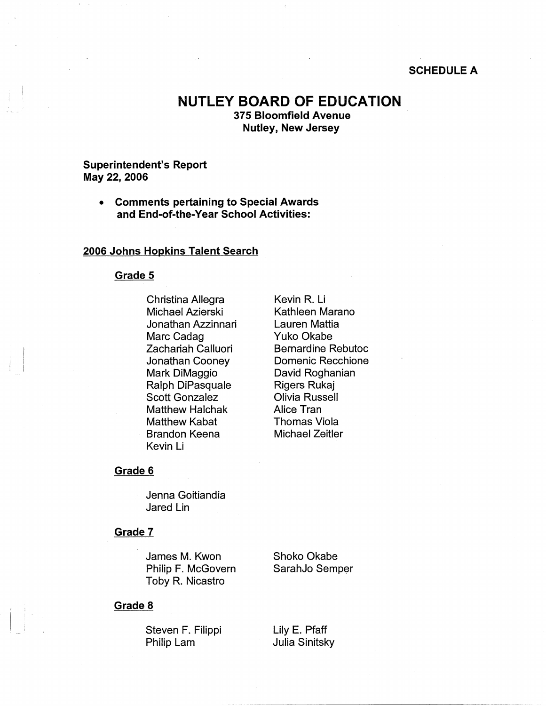## **SCHEDULE A**

# **NUTLEY BOARD OF EDUCATION 375 Bloomfield Avenue Nutley, New Jersey**

## **Superintendent's Report May 22, 2006**

• **Comments pertaining to Special Awards and End-of-the-Year School Activities:** 

## **2006 Johns Hopkins Talent Search**

#### **Grade 5**

 $\begin{bmatrix} 1 \\ 1 \end{bmatrix}$ 

Christina Allegra Kevin R. Li Michael Azierski Kathleen Marano Jonathan Azzinnari Lauren Mattia Marc Cadag Yuko Okabe Mark DiMaggio David Roghanian Ralph DiPasquale Rigers Rukaj Scott Gonzalez **Olivia Russell** Matthew Halchak **Alice Tran** Matthew Kabat **Thomas Viola** Brandon Keena Michael Zeitler Kevin Li

Zachariah Calluori Bernardine Rebutoc Jonathan Cooney Domenic Recchione

#### **Grade 6**

Jenna Goitiandia Jared Lin

#### **Grade 7**

James M. Kwon Shoko Okabe Philip F. McGovern SarahJo Semper Toby R. Nicastro

#### **Grade 8**

Steven F. Filippi Lily E. Pfaff Philip Lam Julia Sinitsky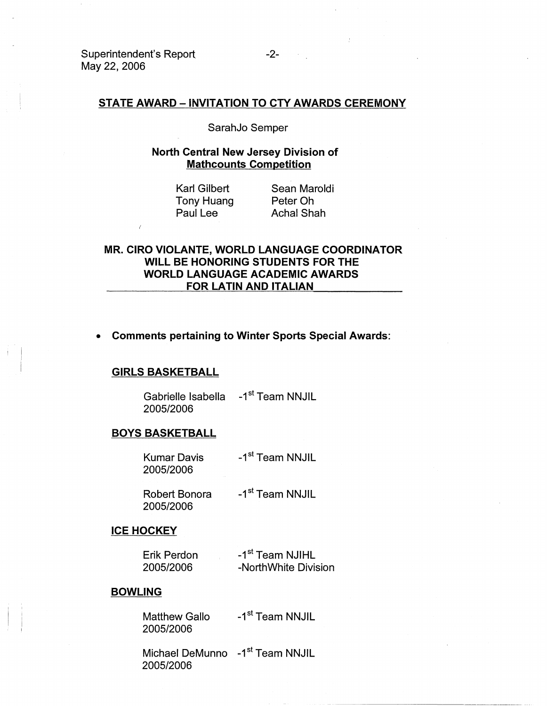## **STATE AWARD- INVITATION TO CTY AWARDS CEREMONY**

SarahJo Semper

## **North Central New Jersey Division of Mathcounts Competition**

Karl Gilbert Tony Huang Paul Lee

Sean Maroldi Peter Oh **Achal Shah** 

# **MR. CIRO VIOLANTE, WORLD LANGUAGE COORDINATOR WILL BE HONORING STUDENTS FOR THE WORLD LANGUAGE ACADEMIC AWARDS FOR LATIN AND ITALIAN**

# • **Comments pertaining to Winter Sports Special Awards:**

#### **GIRLS BASKETBALL**

Gabrielle Isabella -1<sup>st</sup> Team NNJIL 2005/2006

## **BOYS BASKETBALL**

| Kumar Davis | -1 <sup>st</sup> Team NNJIL |
|-------------|-----------------------------|
| 2005/2006   |                             |

Robert Bonora -1<sup>st</sup> Team NNJIL 2005/2006

### **ICE HOCKEY**

| Erik Perdon | -1 <sup>st</sup> Team NJIHL |  |
|-------------|-----------------------------|--|
| 2005/2006   | -NorthWhite Division        |  |

#### **BOWLING**

 $\vert$ i Matthew Gallo -1<sup>st</sup> Team NNJIL 2005/2006

Michael DeMunno -1<sup>st</sup> Team NNJIL 2005/2006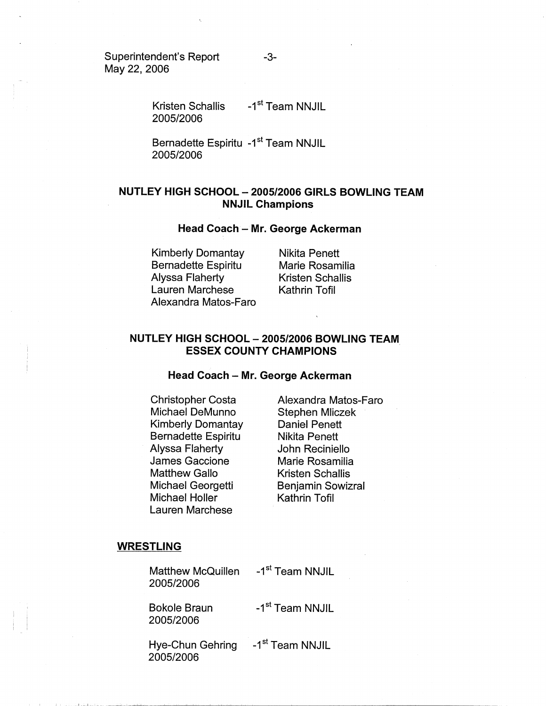Superintendent's Report May 22, 2006

Kristen Schallis 2005/2006 -1<sup>st</sup> Team NNJIL

Bernadette Espiritu -1<sup>st</sup> Team NNJIL 2005/2006

# **NUTLEY HIGH SCHOOL - 2005/2006 GIRLS BOWLING TEAM NNJIL Champions**

#### **Head Coach - Mr. George Ackerman**

Kimberly Domantay Bernadette Espiritu Alyssa Flaherty Lauren Marchese Alexandra Matos-Faro Nikita Penett Marie Rosamilia Kristen Schallis Kathrin Tofil

# **NUTLEY HIGH SCHOOL - 2005/2006 BOWLING TEAM ESSEX COUNTY CHAMPIONS**

### **Head Coach - Mr. George Ackerman**

Christopher Costa Michael DeMunno Kimberly Domantay Bernadette Espiritu Alyssa Flaherty James Gaccione Matthew Gallo Michael Georgetti Michael Holler Lauren Marchese

Alexandra Matos-Faro Stephen Mliczek Daniel Penett Nikita Penett John Reciniello Marie Rosamilia Kristen Schallis Benjamin Sowizral Kathrin Tofil

#### **WRESTLING**

Matthew McQuillen -1<sup>st</sup> Team NNJIL 2005/2006

2005/2006

Bokole Braun -1<sup>st</sup> Team NNJIL

Hye-Chun Gehring -1<sup>st</sup> Team NNJIL 2005/2006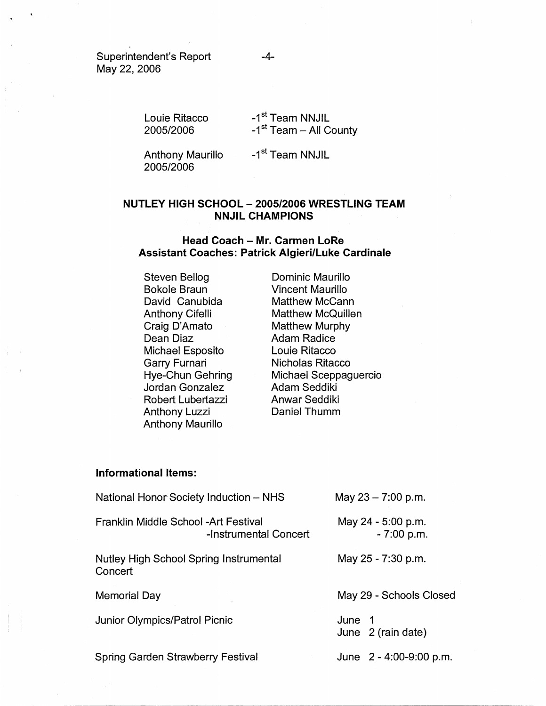Superintendent's Report May 22, 2006

> Louie Ritacco 2005/2006 -1<sup>st</sup> Team NNJIL  $-1<sup>st</sup>$  Team - All County

Anthony Maurillo 2005/2006

-1<sup>st</sup> Team NNJIL

# **NUTLEY HIGH SCHOOL - 2005/2006 WRESTLING TEAM NNJIL CHAMPIONS**

## **Head Coach - Mr. Carmen LoRe Assistant Coaches: Patrick Algieri/Luke Cardinale**

Steven Bellog Bokole Braun David Canubida Anthony Cifelli Craig D' Amato Dean Diaz Michael Esposito Garry Furnari Hye-Chun Gehring Jordan Gonzalez Robert Lubertazzi Anthony Luzzi Anthony Maurillo

Dominic Maurillo Vincent Maurillo Matthew McCann Matthew McQuillen Matthew Murphy Adam Radice Louie Ritacco Nicholas Ritacco Michael Sceppaguercio Adam Seddiki Anwar Seddiki Daniel Thumm

## **Informational Items:**

| May $23 - 7:00$ p.m.               |
|------------------------------------|
| May 24 - 5:00 p.m.<br>$-7:00$ p.m. |
| May 25 - 7:30 p.m.                 |
| May 29 - Schools Closed            |
| June 1<br>June 2 (rain date)       |
|                                    |
|                                    |

-4-